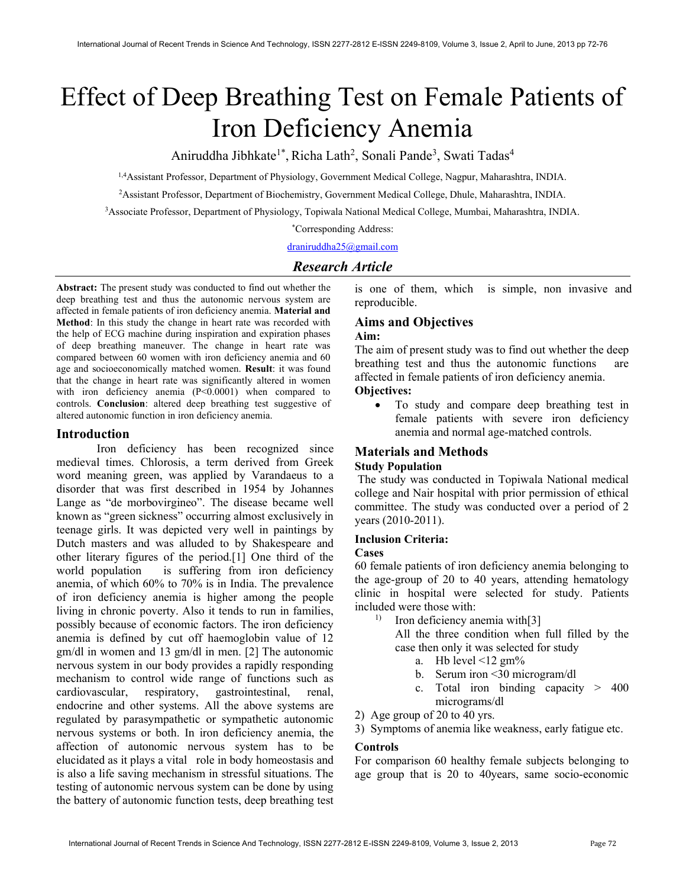# Effect of Deep Breathing Test on Female Patients of Iron Deficiency Anemia

Aniruddha Jibhkate<sup>1\*</sup>, Richa Lath<sup>2</sup>, Sonali Pande<sup>3</sup>, Swati Tadas<sup>4</sup>

1,4Assistant Professor, Department of Physiology, Government Medical College, Nagpur, Maharashtra, INDIA.

<sup>2</sup>Assistant Professor, Department of Biochemistry, Government Medical College, Dhule, Maharashtra, INDIA.

<sup>3</sup>Associate Professor, Department of Physiology, Topiwala National Medical College, Mumbai, Maharashtra, INDIA.

\*Corresponding Address:

draniruddha25@gmail.com

## Research Article

Abstract: The present study was conducted to find out whether the deep breathing test and thus the autonomic nervous system are affected in female patients of iron deficiency anemia. Material and Method: In this study the change in heart rate was recorded with the help of ECG machine during inspiration and expiration phases of deep breathing maneuver. The change in heart rate was compared between 60 women with iron deficiency anemia and 60 age and socioeconomically matched women. Result: it was found that the change in heart rate was significantly altered in women with iron deficiency anemia (P<0.0001) when compared to controls. Conclusion: altered deep breathing test suggestive of altered autonomic function in iron deficiency anemia.

## Introduction

Iron deficiency has been recognized since medieval times. Chlorosis, a term derived from Greek word meaning green, was applied by Varandaeus to a disorder that was first described in 1954 by Johannes Lange as "de morbovirgineo". The disease became well known as "green sickness" occurring almost exclusively in teenage girls. It was depicted very well in paintings by Dutch masters and was alluded to by Shakespeare and other literary figures of the period.[1] One third of the world population is suffering from iron deficiency anemia, of which 60% to 70% is in India. The prevalence of iron deficiency anemia is higher among the people living in chronic poverty. Also it tends to run in families, possibly because of economic factors. The iron deficiency anemia is defined by cut off haemoglobin value of 12 gm/dl in women and 13 gm/dl in men. [2] The autonomic nervous system in our body provides a rapidly responding mechanism to control wide range of functions such as cardiovascular, respiratory, gastrointestinal, renal, endocrine and other systems. All the above systems are regulated by parasympathetic or sympathetic autonomic nervous systems or both. In iron deficiency anemia, the affection of autonomic nervous system has to be elucidated as it plays a vital role in body homeostasis and is also a life saving mechanism in stressful situations. The testing of autonomic nervous system can be done by using the battery of autonomic function tests, deep breathing test

is one of them, which is simple, non invasive and reproducible.

## Aims and Objectives

## Aim:

The aim of present study was to find out whether the deep breathing test and thus the autonomic functions are affected in female patients of iron deficiency anemia. Objectives:

 To study and compare deep breathing test in female patients with severe iron deficiency anemia and normal age-matched controls.

## Materials and Methods

#### Study Population

 The study was conducted in Topiwala National medical college and Nair hospital with prior permission of ethical committee. The study was conducted over a period of 2 years (2010-2011).

#### Inclusion Criteria:

#### Cases

60 female patients of iron deficiency anemia belonging to the age-group of 20 to 40 years, attending hematology clinic in hospital were selected for study. Patients included were those with:

<sup>1)</sup> Iron deficiency anemia with [3]

All the three condition when full filled by the case then only it was selected for study

- a. Hb level  $\leq$  12 gm%
- b. Serum iron <30 microgram/dl
- c. Total iron binding capacity > 400 micrograms/dl
- 2) Age group of 20 to 40 yrs.
- 3) Symptoms of anemia like weakness, early fatigue etc.

#### Controls

For comparison 60 healthy female subjects belonging to age group that is 20 to 40years, same socio-economic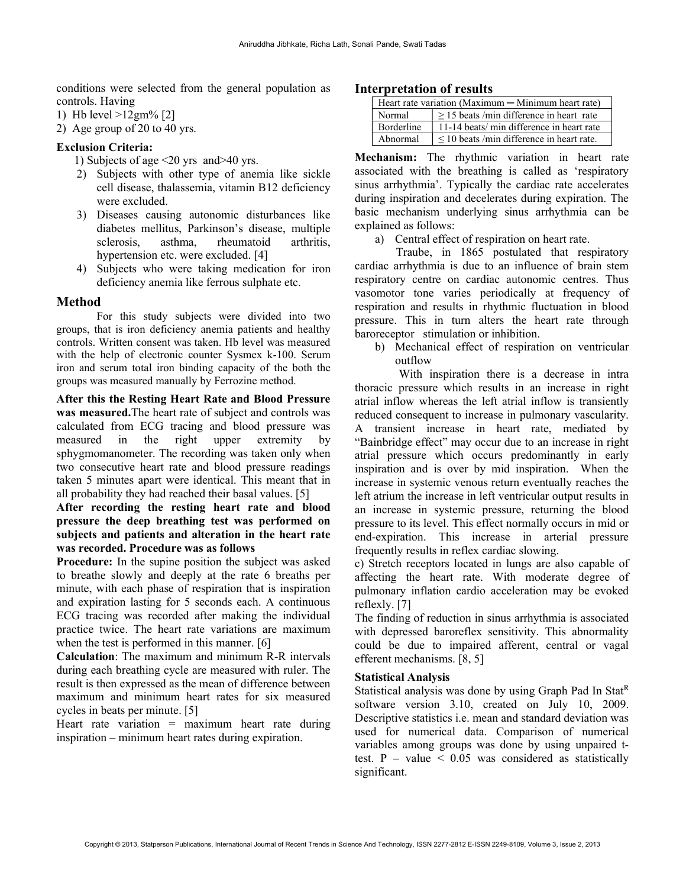conditions were selected from the general population as controls. Having

1) Hb level >12gm% [2]

2) Age group of 20 to 40 yrs.

## Exclusion Criteria:

- 1) Subjects of age <20 yrs and>40 yrs.
- 2) Subjects with other type of anemia like sickle cell disease, thalassemia, vitamin B12 deficiency were excluded.
- 3) Diseases causing autonomic disturbances like diabetes mellitus, Parkinson's disease, multiple sclerosis, asthma, rheumatoid arthritis, hypertension etc. were excluded. [4]
- 4) Subjects who were taking medication for iron deficiency anemia like ferrous sulphate etc.

#### Method

For this study subjects were divided into two groups, that is iron deficiency anemia patients and healthy controls. Written consent was taken. Hb level was measured with the help of electronic counter Sysmex k-100. Serum iron and serum total iron binding capacity of the both the groups was measured manually by Ferrozine method.

After this the Resting Heart Rate and Blood Pressure was measured.The heart rate of subject and controls was calculated from ECG tracing and blood pressure was measured in the right upper extremity by sphygmomanometer. The recording was taken only when two consecutive heart rate and blood pressure readings taken 5 minutes apart were identical. This meant that in all probability they had reached their basal values. [5]

After recording the resting heart rate and blood pressure the deep breathing test was performed on subjects and patients and alteration in the heart rate was recorded. Procedure was as follows

Procedure: In the supine position the subject was asked to breathe slowly and deeply at the rate 6 breaths per minute, with each phase of respiration that is inspiration and expiration lasting for 5 seconds each. A continuous ECG tracing was recorded after making the individual practice twice. The heart rate variations are maximum when the test is performed in this manner. [6]

Calculation: The maximum and minimum R-R intervals during each breathing cycle are measured with ruler. The result is then expressed as the mean of difference between maximum and minimum heart rates for six measured cycles in beats per minute. [5]

Heart rate variation  $=$  maximum heart rate during inspiration – minimum heart rates during expiration.

## Interpretation of results

| Heart rate variation (Maximum $-$ Minimum heart rate) |                                                |  |  |  |
|-------------------------------------------------------|------------------------------------------------|--|--|--|
| Normal                                                | $>$ 15 beats/min difference in heart rate      |  |  |  |
| <b>Borderline</b>                                     | 11-14 beats/ min difference in heart rate      |  |  |  |
| Abnormal                                              | $\leq$ 10 beats /min difference in heart rate. |  |  |  |

Mechanism: The rhythmic variation in heart rate associated with the breathing is called as 'respiratory sinus arrhythmia'. Typically the cardiac rate accelerates during inspiration and decelerates during expiration. The basic mechanism underlying sinus arrhythmia can be explained as follows:

a) Central effect of respiration on heart rate.

 Traube, in 1865 postulated that respiratory cardiac arrhythmia is due to an influence of brain stem respiratory centre on cardiac autonomic centres. Thus vasomotor tone varies periodically at frequency of respiration and results in rhythmic fluctuation in blood pressure. This in turn alters the heart rate through baroreceptor stimulation or inhibition.

b) Mechanical effect of respiration on ventricular outflow

 With inspiration there is a decrease in intra thoracic pressure which results in an increase in right atrial inflow whereas the left atrial inflow is transiently reduced consequent to increase in pulmonary vascularity. A transient increase in heart rate, mediated by "Bainbridge effect" may occur due to an increase in right atrial pressure which occurs predominantly in early inspiration and is over by mid inspiration. When the increase in systemic venous return eventually reaches the left atrium the increase in left ventricular output results in an increase in systemic pressure, returning the blood pressure to its level. This effect normally occurs in mid or end-expiration. This increase in arterial pressure frequently results in reflex cardiac slowing.

c) Stretch receptors located in lungs are also capable of affecting the heart rate. With moderate degree of pulmonary inflation cardio acceleration may be evoked reflexly. [7]

The finding of reduction in sinus arrhythmia is associated with depressed baroreflex sensitivity. This abnormality could be due to impaired afferent, central or vagal efferent mechanisms. [8, 5]

#### Statistical Analysis

Statistical analysis was done by using Graph Pad In Stat<sup>R</sup> software version 3.10, created on July 10, 2009. Descriptive statistics i.e. mean and standard deviation was used for numerical data. Comparison of numerical variables among groups was done by using unpaired ttest. P – value  $\leq 0.05$  was considered as statistically significant.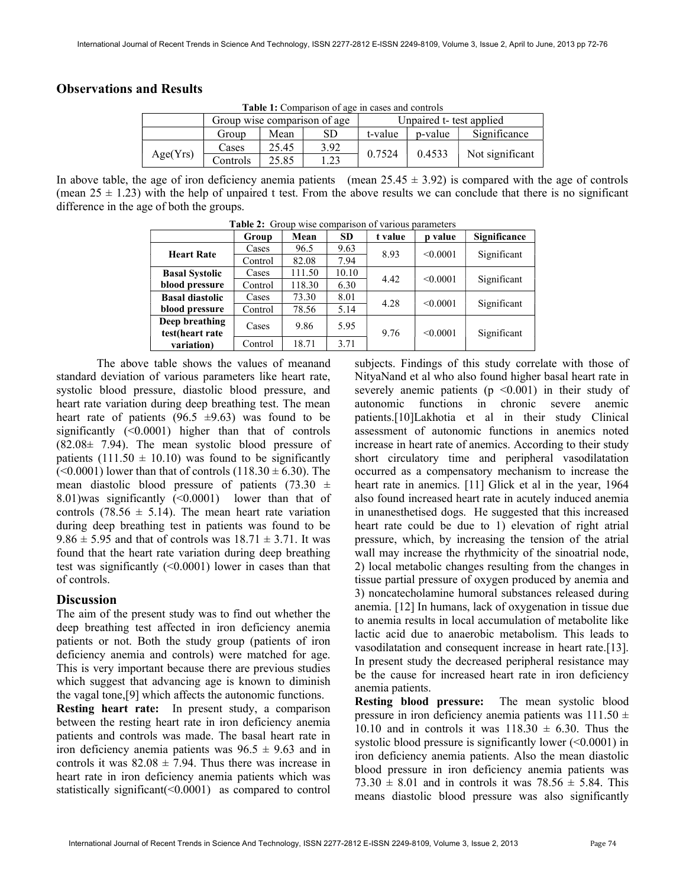## Observations and Results

| <b>Table 1:</b> Comparison of age in cases and controls |                              |       |      |                          |         |                 |  |
|---------------------------------------------------------|------------------------------|-------|------|--------------------------|---------|-----------------|--|
|                                                         | Group wise comparison of age |       |      | Unpaired t- test applied |         |                 |  |
|                                                         | Group                        | Mean  | SD   | t-value                  | p-value | Significance    |  |
| Age(Yrs)                                                | Cases                        | 25.45 | 3.92 | 0.7524                   | 0.4533  | Not significant |  |
|                                                         | Controls                     | 25.85 | 1.23 |                          |         |                 |  |

Table 1: Comparison of age in cases and controls

In above table, the age of iron deficiency anemia patients (mean  $25.45 \pm 3.92$ ) is compared with the age of controls (mean  $25 \pm 1.23$ ) with the help of unpaired t test. From the above results we can conclude that there is no significant difference in the age of both the groups.

|                        | Group   | Mean   | <b>SD</b> | t value | p value  | Significance |
|------------------------|---------|--------|-----------|---------|----------|--------------|
| <b>Heart Rate</b>      | Cases   | 96.5   | 9.63      | 8.93    | < 0.0001 | Significant  |
|                        | Control | 82.08  | 7.94      |         |          |              |
| <b>Basal Systolic</b>  | Cases   | 111.50 | 10.10     | 4.42    | < 0.0001 | Significant  |
| blood pressure         | Control | 118.30 | 6.30      |         |          |              |
| <b>Basal diastolic</b> | Cases   | 73.30  | 8.01      | 4.28    | < 0.0001 | Significant  |
| blood pressure         | Control | 78.56  | 5.14      |         |          |              |
| Deep breathing         | Cases   | 9.86   | 5.95      |         |          |              |
| test(heart rate        |         |        |           | 9.76    | < 0.0001 | Significant  |
| variation)             | Control | 18.71  | 3.71      |         |          |              |

|  | <b>Table 2:</b> Group wise comparison of various parameters |  |
|--|-------------------------------------------------------------|--|
|  |                                                             |  |

The above table shows the values of meanand standard deviation of various parameters like heart rate, systolic blood pressure, diastolic blood pressure, and heart rate variation during deep breathing test. The mean heart rate of patients  $(96.5 \pm 9.63)$  was found to be significantly  $($ <0.0001) higher than that of controls  $(82.08± 7.94)$ . The mean systolic blood pressure of patients (111.50  $\pm$  10.10) was found to be significantly  $(<0.0001$ ) lower than that of controls  $(118.30 \pm 6.30)$ . The mean diastolic blood pressure of patients (73.30  $\pm$ 8.01)was significantly (<0.0001) lower than that of controls (78.56  $\pm$  5.14). The mean heart rate variation during deep breathing test in patients was found to be  $9.86 \pm 5.95$  and that of controls was  $18.71 \pm 3.71$ . It was found that the heart rate variation during deep breathing test was significantly (<0.0001) lower in cases than that of controls.

#### **Discussion**

The aim of the present study was to find out whether the deep breathing test affected in iron deficiency anemia patients or not. Both the study group (patients of iron deficiency anemia and controls) were matched for age. This is very important because there are previous studies which suggest that advancing age is known to diminish the vagal tone,[9] which affects the autonomic functions.

Resting heart rate: In present study, a comparison between the resting heart rate in iron deficiency anemia patients and controls was made. The basal heart rate in iron deficiency anemia patients was  $96.5 \pm 9.63$  and in controls it was  $82.08 \pm 7.94$ . Thus there was increase in heart rate in iron deficiency anemia patients which was statistically significant(<0.0001) as compared to control

subjects. Findings of this study correlate with those of NityaNand et al who also found higher basal heart rate in severely anemic patients ( $p \le 0.001$ ) in their study of autonomic functions in chronic severe anemic patients.[10]Lakhotia et al in their study Clinical assessment of autonomic functions in anemics noted increase in heart rate of anemics. According to their study short circulatory time and peripheral vasodilatation occurred as a compensatory mechanism to increase the heart rate in anemics. [11] Glick et al in the year, 1964 also found increased heart rate in acutely induced anemia in unanesthetised dogs. He suggested that this increased heart rate could be due to 1) elevation of right atrial pressure, which, by increasing the tension of the atrial wall may increase the rhythmicity of the sinoatrial node, 2) local metabolic changes resulting from the changes in tissue partial pressure of oxygen produced by anemia and 3) noncatecholamine humoral substances released during anemia. [12] In humans, lack of oxygenation in tissue due to anemia results in local accumulation of metabolite like lactic acid due to anaerobic metabolism. This leads to vasodilatation and consequent increase in heart rate.[13]. In present study the decreased peripheral resistance may be the cause for increased heart rate in iron deficiency anemia patients.

Resting blood pressure: The mean systolic blood pressure in iron deficiency anemia patients was 111.50 ± 10.10 and in controls it was  $118.30 \pm 6.30$ . Thus the systolic blood pressure is significantly lower  $(\leq 0.0001)$  in iron deficiency anemia patients. Also the mean diastolic blood pressure in iron deficiency anemia patients was 73.30  $\pm$  8.01 and in controls it was 78.56  $\pm$  5.84. This means diastolic blood pressure was also significantly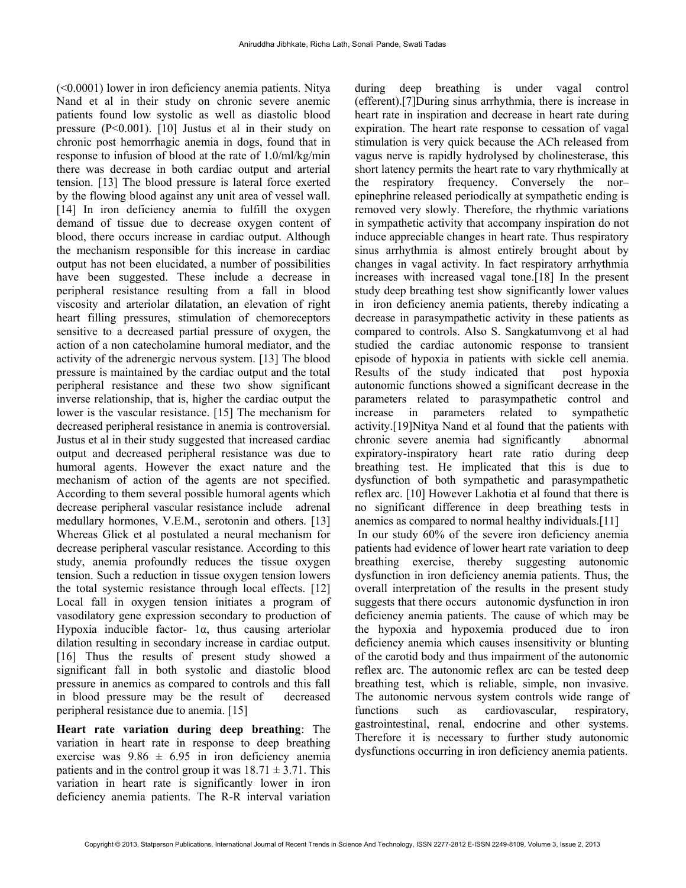(<0.0001) lower in iron deficiency anemia patients. Nitya Nand et al in their study on chronic severe anemic patients found low systolic as well as diastolic blood pressure (P<0.001). [10] Justus et al in their study on chronic post hemorrhagic anemia in dogs, found that in response to infusion of blood at the rate of 1.0/ml/kg/min there was decrease in both cardiac output and arterial tension. [13] The blood pressure is lateral force exerted by the flowing blood against any unit area of vessel wall. [14] In iron deficiency anemia to fulfill the oxygen demand of tissue due to decrease oxygen content of blood, there occurs increase in cardiac output. Although the mechanism responsible for this increase in cardiac output has not been elucidated, a number of possibilities have been suggested. These include a decrease in peripheral resistance resulting from a fall in blood viscosity and arteriolar dilatation, an elevation of right heart filling pressures, stimulation of chemoreceptors sensitive to a decreased partial pressure of oxygen, the action of a non catecholamine humoral mediator, and the activity of the adrenergic nervous system. [13] The blood pressure is maintained by the cardiac output and the total peripheral resistance and these two show significant inverse relationship, that is, higher the cardiac output the lower is the vascular resistance. [15] The mechanism for decreased peripheral resistance in anemia is controversial. Justus et al in their study suggested that increased cardiac output and decreased peripheral resistance was due to humoral agents. However the exact nature and the mechanism of action of the agents are not specified. According to them several possible humoral agents which decrease peripheral vascular resistance include adrenal medullary hormones, V.E.M., serotonin and others. [13] Whereas Glick et al postulated a neural mechanism for decrease peripheral vascular resistance. According to this study, anemia profoundly reduces the tissue oxygen tension. Such a reduction in tissue oxygen tension lowers the total systemic resistance through local effects. [12] Local fall in oxygen tension initiates a program of vasodilatory gene expression secondary to production of Hypoxia inducible factor- 1α, thus causing arteriolar dilation resulting in secondary increase in cardiac output. [16] Thus the results of present study showed a significant fall in both systolic and diastolic blood pressure in anemics as compared to controls and this fall in blood pressure may be the result of decreased peripheral resistance due to anemia. [15]

Heart rate variation during deep breathing: The variation in heart rate in response to deep breathing exercise was  $9.86 \pm 6.95$  in iron deficiency anemia patients and in the control group it was  $18.71 \pm 3.71$ . This variation in heart rate is significantly lower in iron deficiency anemia patients. The R-R interval variation during deep breathing is under vagal control (efferent).[7]During sinus arrhythmia, there is increase in heart rate in inspiration and decrease in heart rate during expiration. The heart rate response to cessation of vagal stimulation is very quick because the ACh released from vagus nerve is rapidly hydrolysed by cholinesterase, this short latency permits the heart rate to vary rhythmically at the respiratory frequency. Conversely the nor– epinephrine released periodically at sympathetic ending is removed very slowly. Therefore, the rhythmic variations in sympathetic activity that accompany inspiration do not induce appreciable changes in heart rate. Thus respiratory sinus arrhythmia is almost entirely brought about by changes in vagal activity. In fact respiratory arrhythmia increases with increased vagal tone.[18] In the present study deep breathing test show significantly lower values in iron deficiency anemia patients, thereby indicating a decrease in parasympathetic activity in these patients as compared to controls. Also S. Sangkatumvong et al had studied the cardiac autonomic response to transient episode of hypoxia in patients with sickle cell anemia. Results of the study indicated that post hypoxia autonomic functions showed a significant decrease in the parameters related to parasympathetic control and increase in parameters related to sympathetic activity.[19]Nitya Nand et al found that the patients with chronic severe anemia had significantly abnormal expiratory-inspiratory heart rate ratio during deep breathing test. He implicated that this is due to dysfunction of both sympathetic and parasympathetic reflex arc. [10] However Lakhotia et al found that there is no significant difference in deep breathing tests in anemics as compared to normal healthy individuals.[11] In our study 60% of the severe iron deficiency anemia patients had evidence of lower heart rate variation to deep breathing exercise, thereby suggesting autonomic dysfunction in iron deficiency anemia patients. Thus, the overall interpretation of the results in the present study suggests that there occurs autonomic dysfunction in iron deficiency anemia patients. The cause of which may be the hypoxia and hypoxemia produced due to iron deficiency anemia which causes insensitivity or blunting of the carotid body and thus impairment of the autonomic reflex arc. The autonomic reflex arc can be tested deep breathing test, which is reliable, simple, non invasive. The autonomic nervous system controls wide range of functions such as cardiovascular, respiratory, gastrointestinal, renal, endocrine and other systems. Therefore it is necessary to further study autonomic dysfunctions occurring in iron deficiency anemia patients.